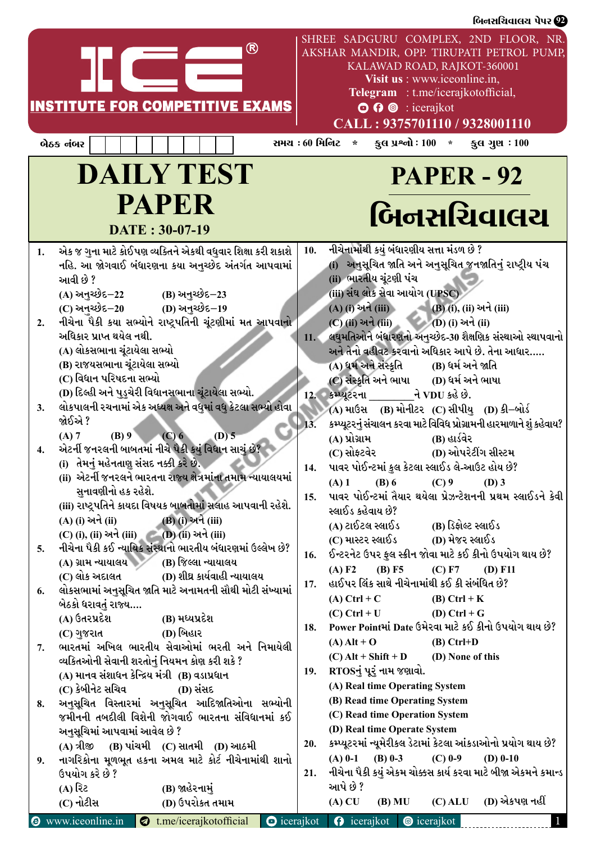|                                                    |                                                                                                                                                                                                                                                                                                                                                                                                                                                                                                                                                                                                                                                                                                                                                                                                                                                                                                                                                                                                                                                                                                                                                                                                                                                                                                                                                                                                                                                                                                                                                                                                                                                              |                |                                                                           |                                                                                                                                                                                                                                                                                                                                                                                                                                                                                                                                                                                                                                                                                                                                                                                                                                                                                                                                                                                                                                                                                                                                                                                                                                                                                                                                                                                                                                                                                                                                                                                                                                      | બિનસચિવાલય પેપર <b>છે</b> |
|----------------------------------------------------|--------------------------------------------------------------------------------------------------------------------------------------------------------------------------------------------------------------------------------------------------------------------------------------------------------------------------------------------------------------------------------------------------------------------------------------------------------------------------------------------------------------------------------------------------------------------------------------------------------------------------------------------------------------------------------------------------------------------------------------------------------------------------------------------------------------------------------------------------------------------------------------------------------------------------------------------------------------------------------------------------------------------------------------------------------------------------------------------------------------------------------------------------------------------------------------------------------------------------------------------------------------------------------------------------------------------------------------------------------------------------------------------------------------------------------------------------------------------------------------------------------------------------------------------------------------------------------------------------------------------------------------------------------------|----------------|---------------------------------------------------------------------------|--------------------------------------------------------------------------------------------------------------------------------------------------------------------------------------------------------------------------------------------------------------------------------------------------------------------------------------------------------------------------------------------------------------------------------------------------------------------------------------------------------------------------------------------------------------------------------------------------------------------------------------------------------------------------------------------------------------------------------------------------------------------------------------------------------------------------------------------------------------------------------------------------------------------------------------------------------------------------------------------------------------------------------------------------------------------------------------------------------------------------------------------------------------------------------------------------------------------------------------------------------------------------------------------------------------------------------------------------------------------------------------------------------------------------------------------------------------------------------------------------------------------------------------------------------------------------------------------------------------------------------------|---------------------------|
|                                                    | ®<br><b>INSTITUTE FOR COMPETITIVE EXAMS</b>                                                                                                                                                                                                                                                                                                                                                                                                                                                                                                                                                                                                                                                                                                                                                                                                                                                                                                                                                                                                                                                                                                                                                                                                                                                                                                                                                                                                                                                                                                                                                                                                                  |                |                                                                           | SHREE SADGURU COMPLEX, 2ND FLOOR, NR.<br>AKSHAR MANDIR, OPP. TIRUPATI PETROL PUMP,<br>KALAWAD ROAD, RAJKOT-360001<br>Visit us : www.iceonline.in,<br>Telegram : t.me/icerajkotofficial,<br>$\odot$ $\odot$ $\odot$ : icerajkot<br>CALL: 9375701110 / 9328001110                                                                                                                                                                                                                                                                                                                                                                                                                                                                                                                                                                                                                                                                                                                                                                                                                                                                                                                                                                                                                                                                                                                                                                                                                                                                                                                                                                      |                           |
|                                                    | બેઠક નંબર                                                                                                                                                                                                                                                                                                                                                                                                                                                                                                                                                                                                                                                                                                                                                                                                                                                                                                                                                                                                                                                                                                                                                                                                                                                                                                                                                                                                                                                                                                                                                                                                                                                    | સમય : 60 મિનિટ |                                                                           | કુલ પ્રશ્નો : 100 $*$ કુલ ગુણ : 100<br>$\star$                                                                                                                                                                                                                                                                                                                                                                                                                                                                                                                                                                                                                                                                                                                                                                                                                                                                                                                                                                                                                                                                                                                                                                                                                                                                                                                                                                                                                                                                                                                                                                                       |                           |
|                                                    | <b>DAILY TEST</b><br><b>PAPER</b><br>DATE: 30-07-19                                                                                                                                                                                                                                                                                                                                                                                                                                                                                                                                                                                                                                                                                                                                                                                                                                                                                                                                                                                                                                                                                                                                                                                                                                                                                                                                                                                                                                                                                                                                                                                                          |                |                                                                           | <b>PAPER - 92</b><br>બિનસચિવાલચ                                                                                                                                                                                                                                                                                                                                                                                                                                                                                                                                                                                                                                                                                                                                                                                                                                                                                                                                                                                                                                                                                                                                                                                                                                                                                                                                                                                                                                                                                                                                                                                                      |                           |
| 1.<br>2.<br>3.<br>4.<br>5.<br>6.<br>7.<br>8.<br>9. | એક જ ગુના માટે કોઈપણ વ્યક્તિને એકથી વધુવાર શિક્ષા કરી શકાશે<br>નહિ. આ જોગવાઈ બંધારણના કયા અનુચ્છેદ અંતર્ગત આપવામાં<br>આવી છે ?<br>(A) અનુચ્છેદ–22<br>(B) અનુચ્છેદ−23<br>(C) અનચ્છેદ–20 (D) અનુચ્છેદ–19<br>નીચેના પૈકી કયા સભ્યોને રાષ્ટ્રપતિની ચૂંટણીમાં મત આપવાનો<br>અધિકાર પ્રાપ્ત થયેલ નથી.<br>(A) લોકસભાના ચૂંટાયેલા સભ્યો<br>(B) રાજયસભાના ચૂંટાયેલા સભ્યો<br>(C) વિધાન પરિષદના સભ્યો<br>(D) દિલ્હી અને પુડુચેરી વિધાનસભાના ચૂંટાયેલા સભ્યો.<br>લોકપાલની રચનામાં એક અધ્યક્ષ અને વધુમાં વધુ કેટલા સભ્યો હોવા<br>જોઈએ ?<br>(B) 9<br>(C) 6<br>$(D)$ 5<br>(A) 7<br>એટર્ની જનરલની બાબતમાં નીચે પૈકી કયું વિધાન સાચું છે?<br>(i) તેમનું મહેનતાણુ સંસદ નક્કી કરે છે.<br>(ii) એટર્ની જનરલને ભારતના રાજ્ય ક્ષેત્રમાંના તમામ ન્યાયાલયમાં<br>સુનાવણીનો હક રહેશે.<br>(iii) રાષ્ટ્રપતિને કાયદા વિષયક બાબતોમાં સલાહ આપવાની રહેશે.<br>(B) (i) અને (iii)<br>(A) (i) અને (ii)<br>(C) (i), (ii) અને (iii) (D) (ii) અને (iii)<br>નીચેના પૈકી કઈ ન્યાયિક સંસ્થાનો ભારતીય બંધારણમાં ઉલ્લેખ છે?<br>$(A)$ ગ્રામ ન્યાયાલય (B) જિલ્લા ન્યાયાલય<br>(C) લોક અદાલત<br>(D) શીઘ્ર કાર્યવાહી ન્યાયાલય<br>લોકસભામાં અનુસૂચિત જાતિ માટે અનામતની સૌથી મોટી સંખ્યામાં<br>બેઠકો ધરાવતું રાજ્ય<br>(A) ઉતરપ્રદેશ<br>(B) મધ્યપ્રદેશ<br>(D) બિહાર<br>(C) ગુજરાત<br>ભારતમાં અખિલ ભારતીય સેવાઓમાં ભરતી અને નિમાયેલી<br>વ્યકિતઓની સેવાની શરતોનું નિયમન કોણ કરી શકે ?<br>(A) માનવ સંશાધન કેન્દ્રિય મંત્રી (B) વડાપ્રધાન<br>(C) કેબીનેટ સચિવ<br>(D) સંસદ<br>અનુસૂચિત વિસ્તારમાં અનુસૂચિત આદિજાતિઓના સભ્યોની<br>જમીનની તબદીલી વિશેની જોગવાઈ ભારતના સંવિધાનમાં કઈ<br>અનુસૂચિમાં આપવામાં આવેલ છે ?<br>(A) ત્રીજી (B) પાંચમી (C) સાતમી (D) આઠમી<br>નાગરિકોના મૂળભૂત હકના અમલ માટે કોર્ટ નીચેનામાંથી શાનો |                | 10.<br>11.<br>13.<br>14.<br>15.<br>16.<br>17.<br>18.<br>19.<br><b>20.</b> | નીચેનામાંથી કયું બંધારણીય સત્તા મંડળ છે ?<br>અનુસૂચિત જાતિ અને અનુસૂચિત જનજાતિનું રાષ્ટ્રીય પંચ<br>(ii) ભારતીય ચૂંટણી પંચ<br>(iii) સંઘ લોક સેવા આયોગ (UPSC)<br>(A) (i) અને (iii)<br>— (B) (i), (ii) અને (iii)<br>(C) (ii) અને (iii) (D) (i) અને (ii)<br>લઘુમતિઓને બંધારણનો અનુચ્છેદ-30 શૈક્ષણિક સંસ્થાઓ સ્થાપવાનો<br>અને તેનો વહીવટ કરવાનો અધિકાર આપે છે. તેના આધાર<br>(A) ધર્મ અને સંસ્કૃતિ (B) ધર્મ અને જાતિ<br>(C) સંસ્કૃતિ અને ભાષા (D) ધર્મ અને ભાષા<br>12. કમ્પ્યૂટરના <u>પ</u> ર ને VDU કહે છે.<br>(A) માઉસ (B) મોનીટર (C) સીપીયુ (D) કી–બોર્ડ<br>કમ્પ્યૂટરનું સંચાલન કરવા માટે વિવિધ પ્રોગ્રામની હારમાળાને શું કહેવાય?<br>(A) પ્રોગ્રામ<br>(B) હાર્ડવેર<br>(C) સોફ્ટવેર<br>(D) ઓપરેટીંગ સીસ્ટમ<br>પાવર પોઈન્ટમાં કુલ કેટલા સ્લાઈડ લે-આઉટ હોય છે?<br>$(A)$ 1<br>$(B)$ 6<br>$(C)$ 9<br>$(D)$ 3<br>પાવર પોઈન્ટમાં તૈયાર થયેલા પ્રેઝન્ટેશનની પ્રથમ સ્લાઈડને કેવી<br>સ્લાઈડ કહેવાય છે?<br>(A) ટાઈટલ સ્લાઈડ<br>(B) ડિફોલ્ટ સ્લાઈડ<br>(C) માસ્ટર સ્લાઈડ<br>(D) મેજર સ્લાઈડ<br>ઈન્ટરનેટ ઉપર ફુલ સ્ક્રીન જોવા માટે કઈ કીનો ઉપયોગ થાય છે?<br>$(B)$ F5<br>(C) F7<br>(A) F2<br>$(D)$ F11<br>હાઈપર લિંક સાથે નીચેનામાંથી કઈ કી સંબંધિત છે?<br>$(A)$ Ctrl + C<br>$(B)$ Ctrl + K<br>(D) Ctrl + $G$<br>$(C)$ Ctrl + U<br>Power Pointમાં Date ઉમેરવા માટે કઈ કીનો ઉપયોગ થાય છે?<br>$(B)$ Ctrl+D<br>$(A)$ Alt + O<br>$(C)$ Alt + Shift + D (D) None of this<br>RTOSનું પૂરું નામ જણાવો.<br>(A) Real time Operating System<br>(B) Read time Operating System<br>(C) Read time Operation System<br>(D) Real time Operate System<br>કમ્પ્યૂટરમાં ન્યૂમેરીકલ ડેટામાં કેટલા આંકડાઓનો પ્રયોગ થાય છે?<br>$(A) 0-1$ (B) 0-3<br>$(C)$ 0-9<br>$(D)$ 0-10 |                           |
|                                                    | ઉપયોગ કરે છે ?<br>(B) જાહેરનામું<br>(A) રિટ                                                                                                                                                                                                                                                                                                                                                                                                                                                                                                                                                                                                                                                                                                                                                                                                                                                                                                                                                                                                                                                                                                                                                                                                                                                                                                                                                                                                                                                                                                                                                                                                                  |                | 21.                                                                       | નીચેના પૈકી કયું એકમ ચોક્કસ કાર્ય કરવા માટે બીજા એકમને કમાન્ડ  <br>આપે છે ?                                                                                                                                                                                                                                                                                                                                                                                                                                                                                                                                                                                                                                                                                                                                                                                                                                                                                                                                                                                                                                                                                                                                                                                                                                                                                                                                                                                                                                                                                                                                                          |                           |
|                                                    | (D) ઉપરોકત તમામ<br>(C) નોટીસ                                                                                                                                                                                                                                                                                                                                                                                                                                                                                                                                                                                                                                                                                                                                                                                                                                                                                                                                                                                                                                                                                                                                                                                                                                                                                                                                                                                                                                                                                                                                                                                                                                 |                |                                                                           | $(A)$ CU<br>$(C)$ ALU<br>$(B)$ MU                                                                                                                                                                                                                                                                                                                                                                                                                                                                                                                                                                                                                                                                                                                                                                                                                                                                                                                                                                                                                                                                                                                                                                                                                                                                                                                                                                                                                                                                                                                                                                                                    | (D) એકપણ નહીં             |
|                                                    | <b>O</b> www.iceonline.in<br>t.me/icerajkotofficial                                                                                                                                                                                                                                                                                                                                                                                                                                                                                                                                                                                                                                                                                                                                                                                                                                                                                                                                                                                                                                                                                                                                                                                                                                                                                                                                                                                                                                                                                                                                                                                                          |                |                                                                           | $\bullet$ icerajkot $\bullet$ icerajkot $\bullet$ icerajkot                                                                                                                                                                                                                                                                                                                                                                                                                                                                                                                                                                                                                                                                                                                                                                                                                                                                                                                                                                                                                                                                                                                                                                                                                                                                                                                                                                                                                                                                                                                                                                          |                           |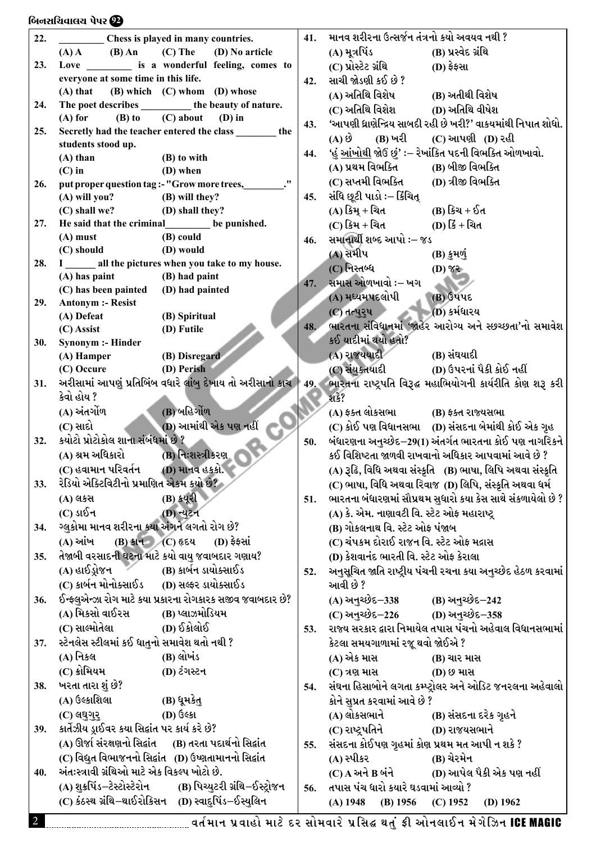#### $\delta$ નિનસચિવાલય પેપર $\mathcal D$

| 22. | Chess is played in many countries.                                   | 41. | માનવ શરીરના ઉત્સર્જન તંત્રનો કયો અવયવ નથી ?                                                                                |
|-----|----------------------------------------------------------------------|-----|----------------------------------------------------------------------------------------------------------------------------|
|     | $(A)$ A $(B)$ An $(C)$ The $(D)$ No article                          |     | (A) મૂત્રપિંડ<br>(B) પ્રસ્વેદ ગ્રંથિ                                                                                       |
| 23. | Love ___________ is a wonderful feeling, comes to                    |     | (C) પ્રોસ્ટેટ ગ્રંથિ<br>$(D)$ ફેફસા                                                                                        |
|     | everyone at some time in this life.                                  | 42. | સાચી જોડણી કઈ છે ?                                                                                                         |
|     | (B) which (C) whom (D) whose<br>$(A)$ that                           |     | (A) અતિથિ વિશેષ               (B) અતીથી વિશેષ                                                                              |
| 24. | The poet describes __________ the beauty of nature.                  |     |                                                                                                                            |
|     | $(B)$ to $(C)$ about<br>$(A)$ for<br>$(D)$ in                        | 43. | 'આપણી ધ્રાણેન્દ્રિય સાબદી રહી છે ખરી?' વાકયમાંથી નિપાત શોધો.                                                               |
| 25. | Secretly had the teacher entered the class _______ the               |     | (A) છે (B) ખરી (C) આપણી (D) રહી                                                                                            |
|     | students stood up.                                                   |     | 'હું <u>આંખોથી</u> જોઉં છું' :– રેખાંકિત પદની વિભક્તિ ઓળખાવો.                                                              |
|     | $(A)$ than<br>(B) to with                                            | 44. |                                                                                                                            |
|     | $(C)$ in<br>(D) when                                                 |     | (A) પ્રથમ વિભક્તિ (B) બીજી વિભક્તિ                                                                                         |
| 26. | put proper question tag :- "Grow more trees, ________."              |     | (C) સપ્તમી વિભક્તિ<br>ાD) ત્રીજી વિભક્તિ                                                                                   |
|     | (A) will you? (B) will they?                                         | 45. | સંધિ છૂટી પાડો :– કિંચિત્                                                                                                  |
|     | (C) shall we? (D) shall they?                                        |     | (A) કિમ્ + ચિત<br>(B) કિચ + ઈત                                                                                             |
| 27. | He said that the criminal be punished.                               |     | (C) કિમ + ચિત (D) કિં + ચિત                                                                                                |
|     | $(A)$ must<br>(B) could<br>(D) would<br>(C) should                   | 46. | સમાનાર્થી શબ્દ આપો :– જડ                                                                                                   |
| 28. | I _____ all the pictures when you take to my house.                  |     | (A) સમીપ<br>(B) કુમળું                                                                                                     |
|     | (A) has paint (B) had paint                                          |     | (C) નિસ્તબ્ધ<br>$(1)$ 85                                                                                                   |
|     | (C) has been painted (D) had painted                                 | 47. | સમાસ ઓળખાવો :– ખગ                                                                                                          |
| 29. | <b>Antonym :- Resist</b>                                             |     | (A) મધ્યમપદલોપી<br>$(B)$ ઉપપદ                                                                                              |
|     | (B) Spiritual<br>(A) Defeat                                          |     | $(C)$ तत्पुरुष (D) કર્મધારય                                                                                                |
|     | (D) Futile<br>$(C)$ Assist                                           | 48. | ભારતના સંવિધાનમાં 'જાહેર આરોગ્ય અને સ્છચ્છતા'નો સમાવેશ                                                                     |
| 30. | <b>Synonym :- Hinder</b>                                             |     | કઈ યાદીમાં થયો હતો?                                                                                                        |
|     | (A) Hamper (B) Disregard                                             |     | (A) રાજયયાદી (B) સંઘયાદી                                                                                                   |
|     | (D) Perish<br>(C) Occure                                             |     |                                                                                                                            |
| 31. |                                                                      |     | અરીસામાં આપણું પ્રતિબિંબ વધારે લાંબુ દેખાય તો અરીસાનો કાચ   49. ભારતના રાષ્ટ્રપતિ વિરૂદ્ધ મહાભિયોગની કાર્યરીતિ કોણ શરૂ કરી |
|     | કેવો હોય ?                                                           |     | શકે?                                                                                                                       |
|     | (B) બહિર્ગોળ<br>(A) અંતર્ગોળ ____                                    |     | (A) ફક્ત લોકસભા (B) ફક્ત રાજ્યસભા                                                                                          |
|     | (D) આમાંથી એક પણ નહીં<br>(C) સાદો                                    |     | (C) કોઈ પણ વિધાનસભા (D) સંસદના બેમાંથી કોઈ એક ગૃહ                                                                          |
| 32. | કયોટો પ્રોટોકોલ શાના સંબંધમાં છે ?                                   | 50. | બંધારણના અનુચ્છેદ–29(1) અંતર્ગત ભારતના કોઈ પણ નાગરિકને                                                                     |
|     | (A) શ્રમ અધિકારો<br>(B) નિઃશસ્ત્રીકરણ ા                              |     | કઈ વિશિષ્ટતા જાળવી રાખવાનો અધિકાર આપવામાં આવે છે ?                                                                         |
|     | (C) હવામાન પરિવર્તન (D) માનવ હકકો.                                   |     | (A) રૂઢિ, વિધિ અથવા સંસ્કૃતિ (B) ભાષા, લિપિ અથવા સંસ્કૃતિ                                                                  |
| 33. | રેડિયો એક્ટિવિટીનો પ્રમાણિત એકમ કયો છે?                              |     | (C) ભાષા, વિધિ અથવા રિવાજ (D) લિપિ, સંસ્કૃતિ અથવા ધર્મ                                                                     |
|     | (B) કયૂરી<br>(A) લકસ                                                 | 51. | ભારતના બંધારણમાં સૌપ્રથમ સુધારો કયા કેસ સાથે સંકળાયેલો છે ?                                                                |
|     | $(C)$ ડાઈન<br>(D) ન્યુટન                                             |     | (A) કે. એમ. નાણાવટી વિ. સ્ટેટ ઓફ મહારાષ્ટ્ર                                                                                |
| 34. | ગ્લુકોમા માનવ શરીરના કયા અંગને લગતો રોગ છે?                          |     | (B) ગોકલનાથ વિ. સ્ટેટ ઓફ પંજાબ                                                                                             |
|     | (B) કાન (C) હૃદય<br>(A) આંખ<br>$(D)$ ફેફસાં                          |     | (C) ચંપકમ દોરાઈ રાજન વિ. સ્ટેટ ઓફ મદ્રાસ                                                                                   |
| 35. | તેજાબી વરસાદની ઘટના માટે કયો વાયુ જવાબદાર ગણાય?                      |     | (D) કેશવાનંદ ભારતી વિ. સ્ટેટ ઓફ કેરાલા                                                                                     |
|     | (A) હાઈડ્રોજન<br>(B) કાર્બન ડાયોક્સાઈડ                               | 52. | અનુસૂચિત જાતિ રાષ્ટ્રીય પંચની રચના કયા અનુચ્છેદ હેઠળ કરવામાં                                                               |
|     | (C) કાર્બન મોનોક્સાઈડ (D) સલ્ફર ડાયોક્સાઈડ                           |     | આવી છે ?                                                                                                                   |
| 36. | ઈન્ફ્લુએન્ઝા રોગ માટે કયા પ્રકારના રોગકારક સજીવ જવાબદાર છે?          |     | (A) અનુચ્છેદ–338 (B) અનુચ્છેદ–242                                                                                          |
|     | (A) મિકસો વાઈરસ (B) પ્લાઝમોડિયમ                                      |     | (C) અનુચ્છેદ $-226$ (D) અનુચ્છેદ $-358$                                                                                    |
|     | (C) સાલ્મોતેલા<br>(D) ઈકોલોઈ                                         | 53. | રાજ્ય સરકાર દ્વારા નિમાયેલ તપાસ પંચનો અહેવાલ વિધાનસભામાં                                                                   |
| 37. | સ્ટેનલેસ સ્ટીલમાં કઈ ધાતુનો સમાવેશ થતો નથી ?                         |     | કેટલા સમયગાળામાં રજૂ થવો જોઈએ ?                                                                                            |
|     | (A) નિકલ<br>(B) લોખંડ                                                |     | (A) એક માસ<br>(B) ચાર માસ                                                                                                  |
|     | (C) ક્રોમિયમ<br>(D) ટંગસ્ટન                                          |     | (C) ત્રણ માસ<br>(D) છ માસ                                                                                                  |
| 38. | ખરતા તારા શું છે?                                                    | 54. | સંઘના હિસાબોને લગતા કમ્પ્ટ્રોલર અને ઓડિટ જનરલના અહેવાલો                                                                    |
|     | (A) ઉલ્કાશિલા<br>(B) ધૂમકેતુ                                         |     | કોને સુપ્રત કરવામાં આવે છે ?                                                                                               |
|     | (D) ઉલ્કા<br>$(C)$ લઘુગુર્                                           |     | (A) લોકસભાને<br>(B) સંસદના દરેક ગૃહને                                                                                      |
| 39. | કાર્તેઝીય ડ્રાઈવર કયા સિદ્વાંત પર કાર્ય કરે છે?                      |     | (C) રાષ્ટ્રપતિને<br>(D) રાજયસભાને                                                                                          |
|     | (A) ઊર્જા સંરક્ષણનો સિદ્વાંત (B) તરતા પદાર્થનો સિદ્વાંત              | 55. | સંસદના કોઈપણ ગૃહમાં કોણ પ્રથમ મત આપી ન શકે ?                                                                               |
|     | (C) વિદ્યુત વિભાજનનો સિદ્દાંત (D) ઉષ્ણતામાનનો સિદ્દાંત               |     | (A) સ્પીકર<br>(B) ચેરમેન                                                                                                   |
| 40. | અંતઃસ્ત્રાવી ગ્રંથિઓ માટે એક વિકલ્પ ખોટો છે.                         |     | $(C)$ $A$ અને $B$ બંને $(D)$ આપેલ પૈકી એક પણ નહીં                                                                          |
|     | (A) શુક્રપિંડ–ટેસ્ટોસ્ટેરોન           (B) પિચ્યુટરી ગ્રંથિ–ઈસ્ટ્રોજન | 56. | તપાસ પંચ ધારો કયારે ઘડવામાં આવ્યો ?                                                                                        |
|     | (C) કંઠસ્થ ગ્રંથિ–થાઈરોકિસન (D) સ્વાદુપિંડ–ઈસ્યુલિન                  |     | $(A)$ 1948<br>$(B)$ 1956<br>$(C)$ 1952<br>(D) $1962$                                                                       |
|     |                                                                      |     |                                                                                                                            |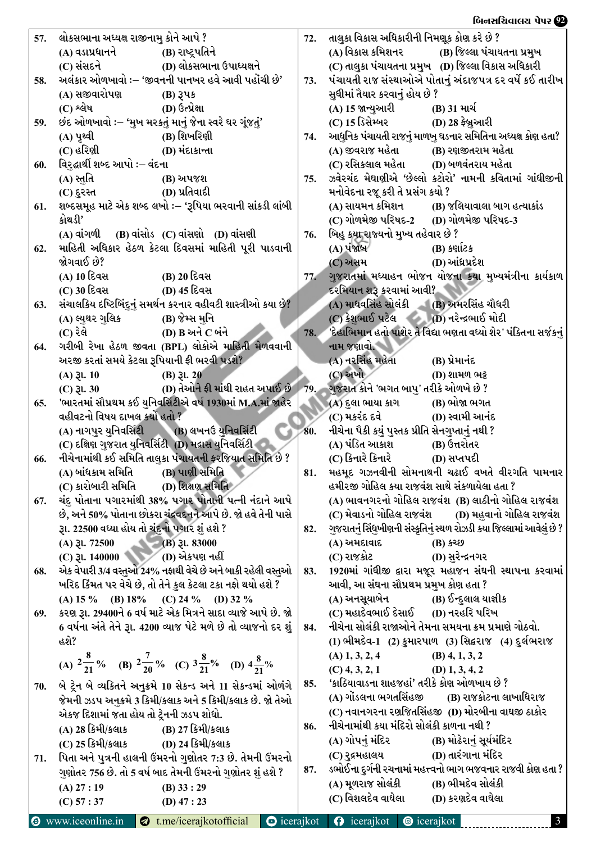## બિનસચિવાલય પેપર **22**

| 57. | લોકસભાના અધ્યક્ષ રાજીનામુ કોને આપે ?          |                                                                                                                                    | 72. | તાલુકા વિકાસ અધિકારીની નિમણૂક કોણ કરે છે ?                                      |                                                                       |  |  |  |
|-----|-----------------------------------------------|------------------------------------------------------------------------------------------------------------------------------------|-----|---------------------------------------------------------------------------------|-----------------------------------------------------------------------|--|--|--|
|     | (A) વડાપ્રધાનને (B) રાષ્ટ્રપતિને              |                                                                                                                                    |     |                                                                                 | (A) વિકાસ કમિશનર                (B) જિલ્લા પંચાયતના પ્રમુખ            |  |  |  |
|     |                                               | (C) સંસદને (D) લોકસભાના ઉપાધ્યક્ષને                                                                                                |     |                                                                                 | (C) તાલુકા પંચાયતના પ્રમુખ (D) જિલ્લા વિકાસ અધિકારી                   |  |  |  |
| 58. |                                               | અલંકાર ઓળખાવો :– 'જીવનની પાનખર હવે આવી પહોંચી છે'                                                                                  | 73. |                                                                                 | પંચાયતી રાજ સંસ્થાઓએ પોતાનું અંદાજપત્ર દર વર્ષે કઈ તારીખ              |  |  |  |
|     | (A) સજીવારોપણ                                 | $(B)$ $3\sqrt{3}$                                                                                                                  |     | સુધીમાં તૈયાર કરવાનું હોય છે ?                                                  |                                                                       |  |  |  |
|     | $(C)$ શ્લેષ $(C)$                             | (D) ઉત્પ્રેક્ષા                                                                                                                    |     | (A) 15 જાન્યુઆરી                                                                | (B) 31 માર્ચ                                                          |  |  |  |
| 59. |                                               | છંદ ઓળખાવો :– 'મુખ મરકતું માનું જેના સ્વરે ઘર ગૂંજતું'                                                                             |     | (C) 15 ડિસેમ્બર (D) 28 ફેબ્રુઆરી                                                |                                                                       |  |  |  |
|     | (A) પૃથ્વી                                    | (B) શિખરિણી                                                                                                                        | 74. |                                                                                 | આધુનિક પંચાયતી રાજનું માળખુ ઘડનાર સમિતિના અધ્યક્ષ કોણ હતા?            |  |  |  |
|     | $(C)$ હરિણી $(D)$ મંદાકાન્તા                  |                                                                                                                                    |     | (A) જીવરાજ મહેતા             (B) રણજીતરામ મહેતા                                 |                                                                       |  |  |  |
| 60. | વિરુદ્ઘાર્થી શબ્દ આપો ઃ– વંદના<br>(A) સ્તુતિ  | (B) અપજશ                                                                                                                           | 75. | (C) રસિકલાલ મહેતા          (D) બળવંતરાય મહેતા                                   | ઝવેરચંદ મેઘાણીએ 'છેલ્લો કટોરો' નામની કવિતામાં ગાંધીજીની               |  |  |  |
|     | (C) દુરસ્ત (D) પ્રતિવાદી                      |                                                                                                                                    |     | મનોવેદના રજૂ કરી તે પ્રસંગ કયો ?                                                |                                                                       |  |  |  |
| 61. |                                               | શબ્દસમૂહ માટે એક શબ્દ લખો :– 'રૂપિયા ભરવાની સાંકડી લાંબી                                                                           |     |                                                                                 | (A) સાયમન કમિશન (B) જલિયાવાલા બાગ હત્યાકાંડ                           |  |  |  |
|     | કોથડી'                                        |                                                                                                                                    |     | (C) ગોળમેજી પરિષદ-2 (D) ગોળમેજી પરિષદ-3                                         |                                                                       |  |  |  |
|     |                                               | $(A)$ વાંગળી $(B)$ વાંસોડ $(C)$ વાંસણો $(D)$ વાંસણી                                                                                | 76. | બિહુ કયા રાજ્યનો મુખ્ય તહેવાર છે ?                                              |                                                                       |  |  |  |
| 62. |                                               | માહિતી અધિકાર હેઠળ કેટલા દિવસમાં માહિતી પૂરી પાડવાની                                                                               |     | (A) પંજાબ                                                                       | $(B)$ કર્ણાટક                                                         |  |  |  |
|     | જોગવાઈ છે?                                    |                                                                                                                                    |     | (C) અસમ                                                                         | (D) આંધ્રપ્રદેશ                                                       |  |  |  |
|     | (A) 10 દિવસ                                   | (B) 20 દિવસ                                                                                                                        | 77. |                                                                                 | ગુજરાતમાં મધ્યાહન ભોજન યોજના કયા મુખ્યમંત્રીના કાર્યકાળ               |  |  |  |
|     | (C) 30 દિવસ                                   | (D) 45 દિવસ                                                                                                                        |     | દરમિયાન શરૂ કરવામાં આવી?                                                        |                                                                       |  |  |  |
| 63. |                                               | સંચાલકિય દષ્ટિબિંદુનું સમર્થન કરનાર વહીવટી શાસ્ત્રીઓ કયા છે?                                                                       |     | $(A)$ માધવસિંહ સોલંકી $(B)$ અમરસિંહ ચૌધરી                                       |                                                                       |  |  |  |
|     | (A) લ્યુથર ગુલિક                              | (B) જેમ્સ મુનિ                                                                                                                     |     | $(C)$ કેશુભાઈ પટેલ $(D)$ નરેન્દ્રભાઈ મોદી                                       |                                                                       |  |  |  |
|     | (C) રેલે                                      | (D) B અને C બંને                                                                                                                   | 78. |                                                                                 | 'દેહાભિમાન હતો પાશેર તે વિદ્યા ભણતા વધ્યો શેર' પંક્તિના સર્જકનું      |  |  |  |
| 64. |                                               | ગરીબી રેખા હેઠળ જીવતા (BPL) લોકોએ માહિતી મેળવવાની                                                                                  |     | નામ જણાવો.                                                                      |                                                                       |  |  |  |
|     | અરજી કરતાં સમયે કેટલા રૂપિયાની ફી ભરવી પડશે?  |                                                                                                                                    |     | (A) નરસિંહ મહેતા                                                                | (B) પ્રેમાનંદ                                                         |  |  |  |
|     | $(A)$ 3l. 10                                  | $(B)$ $\mathfrak{Z}$ l. 20                                                                                                         |     | $(C)$ અખો $\overline{\phantom{a}}$                                              | (D) શામળ ભટ્ટ                                                         |  |  |  |
|     |                                               | (C) રૂા. 30 (D) તેઓને ફી માંથી રાહત અપાઈ છે   79.                                                                                  |     | ગુજરાત કોને 'ભગત બાપુ' તરીકે ઓળખે છે ?                                          |                                                                       |  |  |  |
| 65. | વહીવટનો વિષય દાખલ કર્યો હતો ?                 | 'ભારતમાં સૌપ્રથમ કઈ યુનિવર્સિટીએ વર્ષ 1930માં M.A.માં જાહેર                                                                        |     | (A) દુલા ભાયા કાગ             (B) ભોજા ભગત<br>$(C)$ મકરંદ દવે $(D)$ સ્વામી આનંદ |                                                                       |  |  |  |
|     |                                               | (A) નાગપુર યુનિવર્સિટી (B) લખનઉ યુનિવર્સિટી                                                                                        | 80. | નીચેના પૈકી કયું પુસ્તક પ્રીતિ સેનગુપ્તાનું નથી ?                               |                                                                       |  |  |  |
|     |                                               | (C) દક્ષિણ ગુજરાત યુનિવર્સિટી (D) મદ્રાસ યુનિવર્સિટી                                                                               |     | (A) પંડિત આકાશ                                                                  | (Β) ઉત્તરોતર                                                          |  |  |  |
| 66. |                                               | નીચેનામાંથી કઈ સમિતિ તાલુકા પંચાયતની ફરજિયાત સમિતિ છે ?                                                                            |     | (C) કિનારે કિનારે (D) સપ્તપદી                                                   |                                                                       |  |  |  |
|     | (A) બાંધકામ સમિતિ (B) પાણી સમિતિ              |                                                                                                                                    | 81. |                                                                                 | મહમૂદ ગઝનવીની સોમનાથની ચઢાઈ વખતે વીરગતિ પામનાર                        |  |  |  |
|     | (C) કારોબારી સમિતિ (D) શિક્ષણ સમિતિ           |                                                                                                                                    |     | હમીરજી ગોહિલ કયા રાજવંશ સાથે સંકળાયેલા હતા ?                                    |                                                                       |  |  |  |
| 67. |                                               | ચંદુ પોતાના પગારમાંથી 38% પગાર પોતાની પત્ની નંદાને આપે                                                                             |     |                                                                                 | (A) ભાવનગરનો ગોહિલ રાજવંશ (B) લાઠીનો ગોહિલ રાજવંશ                     |  |  |  |
|     |                                               | છે, અને 50% પોતાના છોકરા ચંદ્રવદનને આપે છે. જો હવે તેની પાસે                                                                       |     |                                                                                 | (C) મેવાડનો ગોહિલ રાજવંશ         (D) મહુવાનો ગોહિલ રાજવંશ             |  |  |  |
|     | રૂા. 22500 વધ્યા હોય તો ચંદુનો પગાર શું હશે ? |                                                                                                                                    | 82. |                                                                                 | ગુજરાતનું સિંધુખીણની સંસ્કૃતિનું સ્થળ રોઝડી કયા જિલ્લામાં આવેલું છે ? |  |  |  |
|     | (A) $31.72500$ (B) $31.83000$                 |                                                                                                                                    |     | (A) અમદાવાદ                                                                     | <b>(B)</b> કચ્છ                                                       |  |  |  |
|     | (C) રૂા. 140000 (D) એકપણ નહીં                 |                                                                                                                                    |     | (C) રાજકોટ                                                                      | (D) સુરેન્દ્રનગર                                                      |  |  |  |
| 68. |                                               | એક વેપારી 3/4 વસ્તુઓ 24% નફાથી વેચે છે અને બાકી રહેલી વસ્તુઓ                                                                       | 83. |                                                                                 | 1920માં ગાંધીજી દ્વારા મજૂર મહાજન સંઘની સ્થાપના કરવામાં               |  |  |  |
|     |                                               | ખરિદ કિંમત પર વેચે છે, તો તેને કુલ કેટલા ટકા નફો થયો હશે ?                                                                         |     | આવી, આ સંઘના સૌપ્રથમ પ્રમુખ કોણ હતા ?                                           |                                                                       |  |  |  |
|     |                                               | (A) 15 % (B) 18% (C) 24 % (D) 32 %                                                                                                 |     | (A) અનસૂયાબેન (B) ઈન્દુલાલ યાજ્ઞીક<br>(C) મહાદેવભાઈ દેસાઈ (D) નરહરિ પરિખ        |                                                                       |  |  |  |
| 69. |                                               | કરણ રૂા. 29400ને 6 વર્ષ માટે એક મિત્રને સાદા વ્યાજે આપે છે. જો<br>6 વર્ષના અંતે તેને રૂા. 4200 વ્યાજ પેટે મળે છે તો વ્યાજનો દર શું | 84. |                                                                                 | નીચેના સોલંકી રાજાઓને તેમના સમયના ક્રમ પ્રમાણે ગોઠવો.                 |  |  |  |
|     | હશે?                                          |                                                                                                                                    |     |                                                                                 | (1) ભીમદેવ-1 (2) કુમારપાળ (3) સિદ્ધરાજ (4) દુર્લભરાજ                  |  |  |  |
|     |                                               |                                                                                                                                    |     | $(A)$ 1, 3, 2, 4                                                                | $(B)$ 4, 1, 3, 2                                                      |  |  |  |
|     |                                               | (A) $2\frac{8}{21}$ % (B) $2\frac{7}{20}$ % (C) $3\frac{8}{21}$ % (D) $4\frac{8}{21}$ %                                            |     | $(C)$ 4, 3, 2, 1 $(D)$ 1, 3, 4, 2                                               |                                                                       |  |  |  |
| 70. |                                               | બે ટ્રેન બે વ્યકિતને અનુક્રમે 10 સેકન્ડ અને 11 સેકન્ડમાં ઓળંગે                                                                     | 85. | 'કાઠિયાવાડના શાહજહાં' તરીકે કોણ ઓળખાય છે ?                                      |                                                                       |  |  |  |
|     |                                               | જેમની ઝડપ અનુક્રમે 3 કિમી/કલાક અને 5 કિમી/કલાક છે. જો તેઓ                                                                          |     |                                                                                 | (A) ગોંડલના ભગતસિંહજી (B) રાજકોટના લાખાધિરાજ                          |  |  |  |
|     | એકજ દિશામાં જતા હોય તો ટ્રેનની ઝડપ શોધો.      |                                                                                                                                    |     |                                                                                 | (C) નવાનગરના રણજિતસિંહજી  (D) મોરબીના વાઘજી ઠાકોર                     |  |  |  |
|     | (A) 28 કિમી/કલાક (B) 27 કિમી/કલાક             |                                                                                                                                    | 86. | નીચેનામાંથી કયા મંદિરો સોલંકી કાળના નથી ?                                       |                                                                       |  |  |  |
|     | (C) 25 કિમી/કલાક (D) 24 કિમી/કલાક             |                                                                                                                                    |     |                                                                                 |                                                                       |  |  |  |
| 71. |                                               | પિતા અને પુત્રની હાલની ઉંમરનો ગુણોતર 7:3 છે. તેમની ઉંમરનો                                                                          |     |                                                                                 |                                                                       |  |  |  |
|     |                                               | ગુણોતર 756 છે. તો 5 વર્ષ બાદ તેમની ઉંમરનો ગુણોતર શું હશે ?                                                                         | 87. |                                                                                 | ડભોઈના દુર્ગની રચનામાં મહત્ત્વનો ભાગ ભજવનાર રાજવી કોણ હતા ?           |  |  |  |
|     | (A) 27:19                                     | $(B)$ 33 : 29                                                                                                                      |     | (A) મૂળરાજ સોલંકી                                                               | (B) ભીમદેવ સોલંકી                                                     |  |  |  |
|     | (C) 57 : 37                                   | $(D)$ 47 : 23                                                                                                                      |     | (C) વિશલદેવ વાઘેલા                                                              | (D) કરણદેવ વાઘેલા                                                     |  |  |  |
|     |                                               |                                                                                                                                    |     |                                                                                 |                                                                       |  |  |  |

\_\_\_\_\_\_\_\_\_\_\_\_\_\_\_\_\_\_\_\_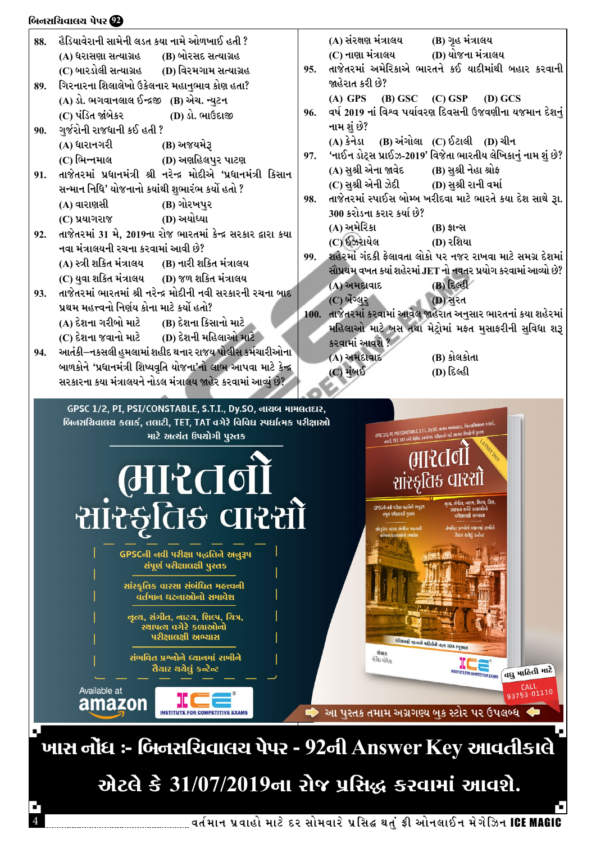#### બિનસચિવાલચ પેપર **22**